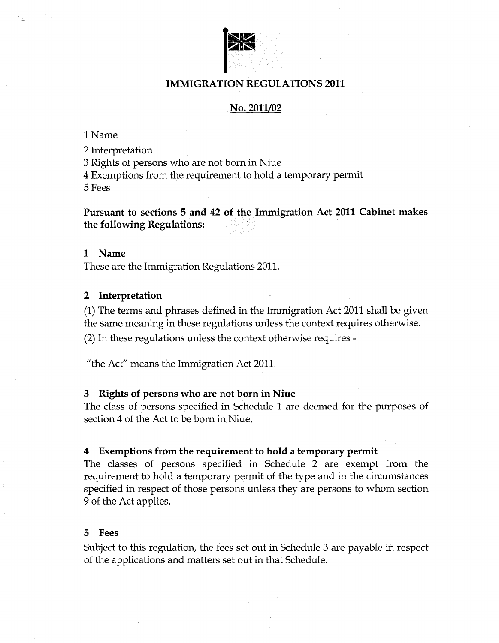

# **IMMIGRATION REGULATIONS 2011**

# No. 2011/02

1 Name

2 Interpretation

3 Rights of persons who are not born in Niue

4 Exemptions from the requirement to hold a temporary permit

5 Fees

**Pursuant to sections 5 and 42 of the Immigration Act 2011 Cabinet makes the following Regulations:** 

## **1 Name**

These are the Immigration Regulations 2011.

## **2 Interpretation**

(1) The terms and phrases defined in the Immigration Act 2011 shall be given the same meaning in these regulations unless the context requires otherwise. (2) In these regulations unless the context otherwise requires -

"the Act" means the Immigration Act 2011.

#### 3 **Rights of persons who are not born in Niue**

The class of persons specified in Schedule 1 are deemed for the purposes of section 4 of the Act to be born in Niue.

#### **4 Exemptions from the requirement to hold a temporary permit**

The classes of persons specified in Schedule 2 are exempt from the requirement to hold a temporary permit of the type and in the circumstances specified in respect of those persons unless they are persons to whom section 9 of the Act applies.

#### **5 Fees**

Subject to this regulation, the fees set out in Schedule 3 are payable in respect of the applications and matters set out in that Schedule.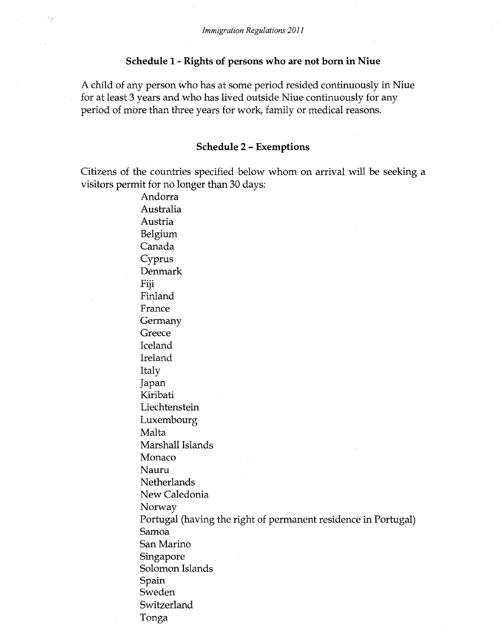## **Schedule 1 - Rights of persons who are not born in Niue**

A child of any person who has at some period resided continuously in Niue for at least 3 years and who has lived outside Niue continuously for any period of more than three years for work, family or medical reasons.

### **Schedule 2 - Exemptions**

Citizens of the countries specified below whom on arrival will be seeking a visitors permit for no longer than 30 days:

Andorra Australia Austria Belgium Canada Cyprus Denmark Fiji Finland France Germany **Greece** Iceland Ireland Italy Japan Kiribati Liechtenstein Luxembourg Malta Marshall Islands Monaco Nauru Netherlands New Caledonia Norway Portugal (having the right of permanent residence in Portugal) Samoa San Marino Singapore Solomon Islands Spain Sweden Switzerland Tonga